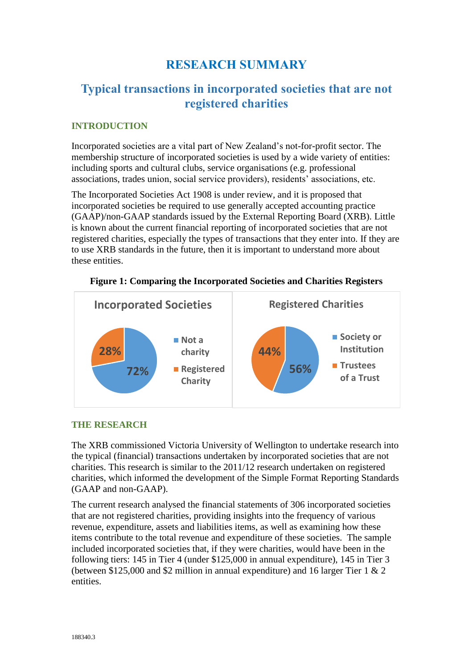# **RESEARCH SUMMARY**

# **Typical transactions in incorporated societies that are not registered charities**

#### **INTRODUCTION**

Incorporated societies are a vital part of New Zealand's not-for-profit sector. The membership structure of incorporated societies is used by a wide variety of entities: including sports and cultural clubs, service organisations (e.g. professional associations, trades union, social service providers), residents' associations, etc.

The Incorporated Societies Act 1908 is under review, and it is proposed that incorporated societies be required to use generally accepted accounting practice (GAAP)/non-GAAP standards issued by the External Reporting Board (XRB). Little is known about the current financial reporting of incorporated societies that are not registered charities, especially the types of transactions that they enter into. If they are to use XRB standards in the future, then it is important to understand more about these entities.



**Figure 1: Comparing the Incorporated Societies and Charities Registers**

#### **THE RESEARCH**

The XRB commissioned Victoria University of Wellington to undertake research into the typical (financial) transactions undertaken by incorporated societies that are not charities. This research is similar to the 2011/12 research undertaken on registered charities, which informed the development of the Simple Format Reporting Standards (GAAP and non-GAAP).

The current research analysed the financial statements of 306 incorporated societies that are not registered charities, providing insights into the frequency of various revenue, expenditure, assets and liabilities items, as well as examining how these items contribute to the total revenue and expenditure of these societies. The sample included incorporated societies that, if they were charities, would have been in the following tiers: 145 in Tier 4 (under \$125,000 in annual expenditure), 145 in Tier 3 (between \$125,000 and \$2 million in annual expenditure) and 16 larger Tier 1 & 2 entities.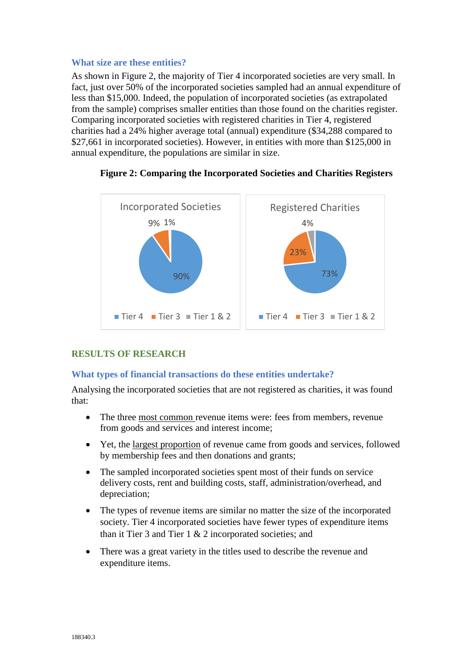#### **What size are these entities?**

As shown in Figure 2, the majority of Tier 4 incorporated societies are very small. In fact, just over 50% of the incorporated societies sampled had an annual expenditure of less than \$15,000. Indeed, the population of incorporated societies (as extrapolated from the sample) comprises smaller entities than those found on the charities register. Comparing incorporated societies with registered charities in Tier 4, registered charities had a 24% higher average total (annual) expenditure (\$34,288 compared to \$27,661 in incorporated societies). However, in entities with more than \$125,000 in annual expenditure, the populations are similar in size.



## **Figure 2: Comparing the Incorporated Societies and Charities Registers**

## **RESULTS OF RESEARCH**

## **What types of financial transactions do these entities undertake?**

Analysing the incorporated societies that are not registered as charities, it was found that:

- The three most common revenue items were: fees from members, revenue from goods and services and interest income;
- Yet, the largest proportion of revenue came from goods and services, followed by membership fees and then donations and grants;
- The sampled incorporated societies spent most of their funds on service delivery costs, rent and building costs, staff, administration/overhead, and depreciation;
- The types of revenue items are similar no matter the size of the incorporated society. Tier 4 incorporated societies have fewer types of expenditure items than it Tier 3 and Tier 1 & 2 incorporated societies; and
- There was a great variety in the titles used to describe the revenue and expenditure items.